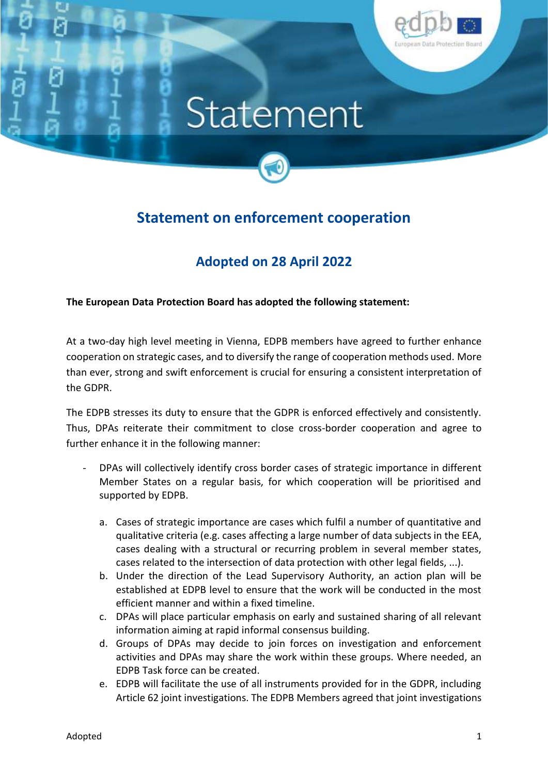

## Statement



## **Statement on enforcement cooperation**

## **Adopted on 28 April 2022**

**The European Data Protection Board has adopted the following statement:**

At a two-day high level meeting in Vienna, EDPB members have agreed to further enhance cooperation on strategic cases, and to diversify the range of cooperation methods used. More than ever, strong and swift enforcement is crucial for ensuring a consistent interpretation of the GDPR.

The EDPB stresses its duty to ensure that the GDPR is enforced effectively and consistently. Thus, DPAs reiterate their commitment to close cross-border cooperation and agree to further enhance it in the following manner:

- DPAs will collectively identify cross border cases of strategic importance in different Member States on a regular basis, for which cooperation will be prioritised and supported by EDPB.
	- a. Cases of strategic importance are cases which fulfil a number of quantitative and qualitative criteria (e.g. cases affecting a large number of data subjects in the EEA, cases dealing with a structural or recurring problem in several member states, cases related to the intersection of data protection with other legal fields, ...).
	- b. Under the direction of the Lead Supervisory Authority, an action plan will be established at EDPB level to ensure that the work will be conducted in the most efficient manner and within a fixed timeline.
	- c. DPAs will place particular emphasis on early and sustained sharing of all relevant information aiming at rapid informal consensus building.
	- d. Groups of DPAs may decide to join forces on investigation and enforcement activities and DPAs may share the work within these groups. Where needed, an EDPB Task force can be created.
	- e. EDPB will facilitate the use of all instruments provided for in the GDPR, including Article 62 joint investigations. The EDPB Members agreed that joint investigations